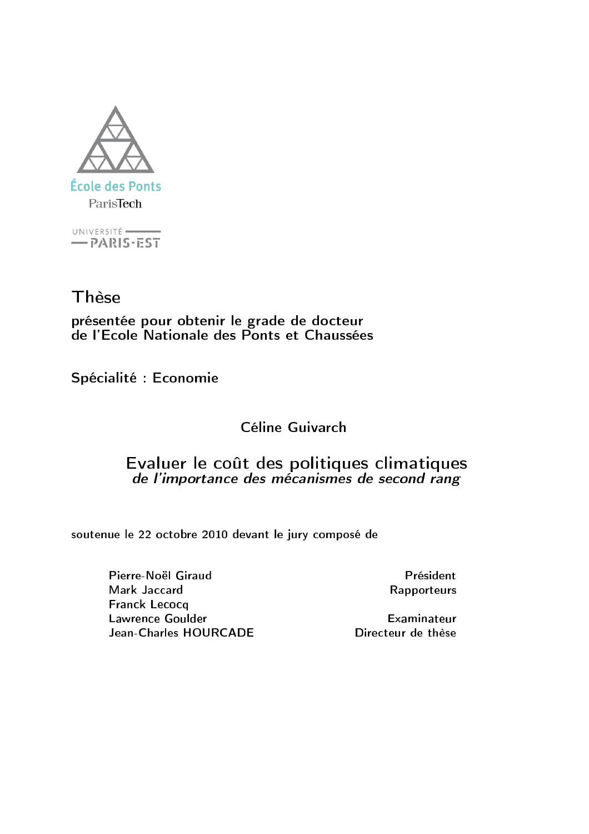

UNIVERSITÉ  $-$  PARIS-EST

Thèse

présentée pour obtenir le grade de docteur<br>de l'Ecole Nationale des Ponts et Chaussées

Spécialité : Economie

## Céline Guivarch

## Evaluer le coût des politiques climatiques de l'importance des mécanismes de second rang

soutenue le 22 octobre 2010 devant le jury composé de

Pierre-Noël Giraud Mark Jaccard **Franck Lecocq Lawrence Goulder** Jean-Charles HOURCADE

Président Rapporteurs

Examinateur Directeur de thèse